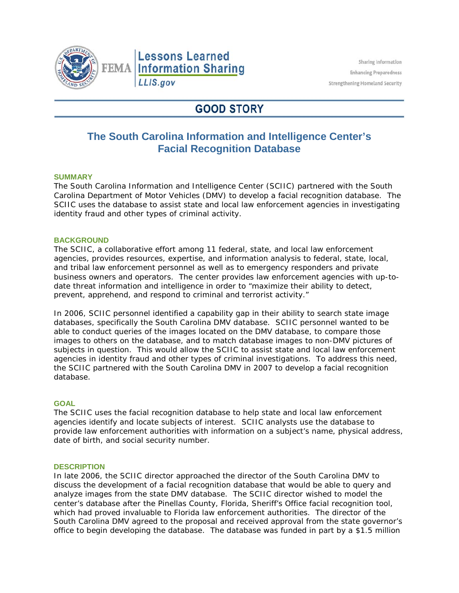

# **GOOD STORY**

## **The South Carolina Information and Intelligence Center's Facial Recognition Database**

## **SUMMARY**

The South Carolina Information and Intelligence Center (SCIIC) partnered with the South Carolina Department of Motor Vehicles (DMV) to develop a facial recognition database. The SCIIC uses the database to assist state and local law enforcement agencies in investigating identity fraud and other types of criminal activity.

#### **BACKGROUND**

The SCIIC, a collaborative effort among 11 federal, state, and local law enforcement agencies, provides resources, expertise, and information analysis to federal, state, local, and tribal law enforcement personnel as well as to emergency responders and private business owners and operators. The center provides law enforcement agencies with up-todate threat information and intelligence in order to "maximize their ability to detect, prevent, apprehend, and respond to criminal and terrorist activity."

In 2006, SCIIC personnel identified a capability gap in their ability to search state image databases, specifically the South Carolina DMV database. SCIIC personnel wanted to be able to conduct queries of the images located on the DMV database, to compare those images to others on the database, and to match database images to non-DMV pictures of subjects in question. This would allow the SCIIC to assist state and local law enforcement agencies in identity fraud and other types of criminal investigations. To address this need, the SCIIC partnered with the South Carolina DMV in 2007 to develop a facial recognition database.

#### **GOAL**

The SCIIC uses the facial recognition database to help state and local law enforcement agencies identify and locate subjects of interest. SCIIC analysts use the database to provide law enforcement authorities with information on a subject's name, physical address, date of birth, and social security number.

#### **DESCRIPTION**

In late 2006, the SCIIC director approached the director of the South Carolina DMV to discuss the development of a facial recognition database that would be able to query and analyze images from the state DMV database. The SCIIC director wished to model the center's database after the Pinellas County, Florida, Sheriff's Office facial recognition tool, which had proved invaluable to Florida law enforcement authorities. The director of the South Carolina DMV agreed to the proposal and received approval from the state governor's office to begin developing the database. The database was funded in part by a \$1.5 million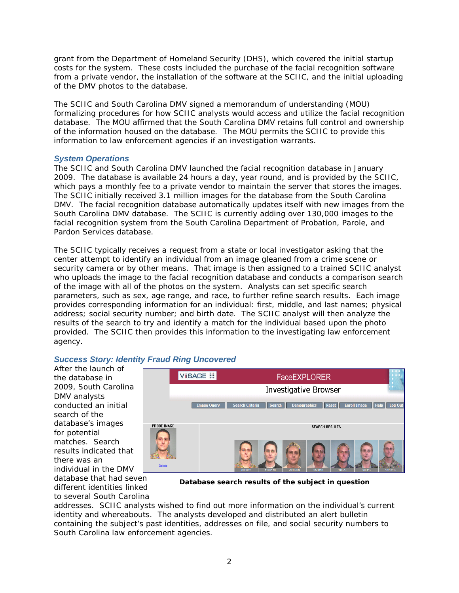grant from the Department of Homeland Security (DHS), which covered the initial startup costs for the system. These costs included the purchase of the facial recognition software from a private vendor, the installation of the software at the SCIIC, and the initial uploading of the DMV photos to the database.

The SCIIC and South Carolina DMV signed a memorandum of understanding (MOU) formalizing procedures for how SCIIC analysts would access and utilize the facial recognition database. The MOU affirmed that the South Carolina DMV retains full control and ownership of the information housed on the database. The MOU permits the SCIIC to provide this information to law enforcement agencies if an investigation warrants.

## *System Operations*

The SCIIC and South Carolina DMV launched the facial recognition database in January 2009. The database is available 24 hours a day, year round, and is provided by the SCIIC, which pays a monthly fee to a private vendor to maintain the server that stores the images. The SCIIC initially received 3.1 million images for the database from the South Carolina DMV. The facial recognition database automatically updates itself with new images from the South Carolina DMV database. The SCIIC is currently adding over 130,000 images to the facial recognition system from the South Carolina Department of Probation, Parole, and Pardon Services database.

The SCIIC typically receives a request from a state or local investigator asking that the center attempt to identify an individual from an image gleaned from a crime scene or security camera or by other means. That image is then assigned to a trained SCIIC analyst who uploads the image to the facial recognition database and conducts a comparison search of the image with all of the photos on the system. Analysts can set specific search parameters, such as sex, age range, and race, to further refine search results. Each image provides corresponding information for an individual: first, middle, and last names; physical address; social security number; and birth date. The SCIIC analyst will then analyze the results of the search to try and identify a match for the individual based upon the photo provided. The SCIIC then provides this information to the investigating law enforcement agency.

## *Success Story: Identity Fraud Ring Uncovered*

After the launch of the database in 2009, South Carolina DMV analysts conducted an initial search of the database's images for potential matches. Search results indicated that there was an individual in the DMV



database that had seven different identities linked to several South Carolina

**Database search results of the subject in question**

addresses. SCIIC analysts wished to find out more information on the individual's current identity and whereabouts. The analysts developed and distributed an alert bulletin containing the subject's past identities, addresses on file, and social security numbers to South Carolina law enforcement agencies.